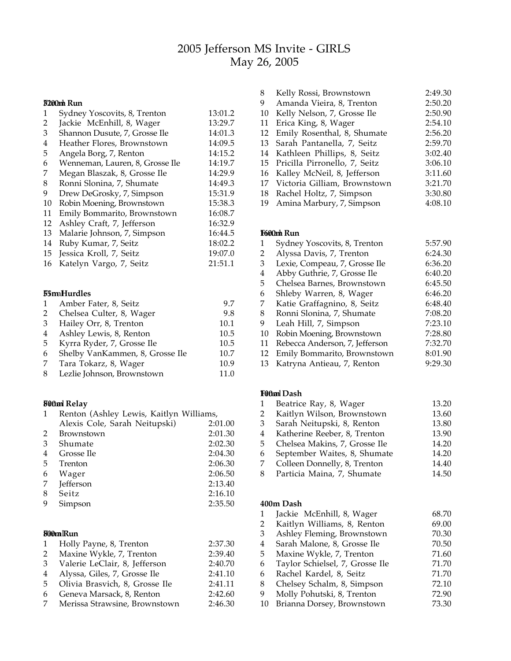# Jefferson MS Invite - GIRLS May 26, 2005

# F**2**i**0**n**0**a**m**l **Run**

| $\mathbf{1}$ | Sydney Yoscovits, 8, Trenton    | 13:01.2 |
|--------------|---------------------------------|---------|
| 2            | Jackie McEnhill, 8, Wager       | 13:29.7 |
| 3            | Shannon Dusute, 7, Grosse Ile   | 14:01.3 |
| 4            | Heather Flores, Brownstown      | 14:09.5 |
| 5            | Angela Borg, 7, Renton          | 14:15.2 |
| 6            | Wenneman, Lauren, 8, Grosse Ile | 14:19.7 |
| 7            | Megan Blaszak, 8, Grosse Ile    | 14:29.9 |
| 8            | Ronni Slonina, 7, Shumate       | 14:49.3 |
| 9            | Drew DeGrosky, 7, Simpson       | 15:31.9 |
| 10           | Robin Moening, Brownstown       | 15:38.3 |
| 11           | Emily Bommarito, Brownstown     | 16:08.7 |
| 12           | Ashley Craft, 7, Jefferson      | 16:32.9 |
| 13           | Malarie Johnson, 7, Simpson     | 16:44.5 |
| 14           | Ruby Kumar, 7, Seitz            | 18:02.2 |
| 15           | Jessica Kroll, 7, Seitz         | 19:07.0 |
| 16           | Katelyn Vargo, 7, Seitz         | 21:51.1 |
|              |                                 |         |

#### maHurdles

| $\mathbf{1}$ | Amber Fater, 8, Seitz           | 9.7  |
|--------------|---------------------------------|------|
| 2            | Chelsea Culter, 8, Wager        | 9.8  |
| 3            | Hailey Orr, 8, Trenton          | 10.1 |
| 4            | Ashley Lewis, 8, Renton         | 10.5 |
| 5            | Kyrra Ryder, 7, Grosse Ile      | 10.5 |
| 6            | Shelby VanKammen, 8, Grosse Ile | 10.7 |
| 7            | Tara Tokarz, 8, Wager           | 10.9 |
| 8            | Lezlie Johnson, Brownstown      | 11.0 |

#### F**0**in**0m**al **Relay**

| 1  | Renton (Ashley Lewis, Kaitlyn Williams, |         |
|----|-----------------------------------------|---------|
|    | Alexis Cole, Sarah Neitupski)           | 2:01.00 |
| 2  | <b>Brownstown</b>                       | 2:01.30 |
| 3  | Shumate                                 | 2:02.30 |
| 4  | Grosse Ile                              | 2:04.30 |
| 5. | Trenton                                 | 2:06.30 |
| 6  | Wager                                   | 2:06.50 |
| 7  | Jefferson                               | 2:13.40 |
| 8  | Seitz                                   | 2:16.10 |
| 9  | Simpson                                 | 2:35.50 |
|    |                                         |         |

## F**0**i**0**n**m**al**Run**

| $\mathbf{1}$ | Holly Payne, 8, Trenton        | 2:37.30 |
|--------------|--------------------------------|---------|
| 2            | Maxine Wykle, 7, Trenton       | 2:39.40 |
| 3            | Valerie LeClair, 8, Jefferson  | 2:40.70 |
| 4            | Alyssa, Giles, 7, Grosse Ile   | 2:41.10 |
| 5            | Olivia Brasvich, 8, Grosse Ile | 2:41.11 |
| 6            | Geneva Marsack, 8, Renton      | 2:42.60 |
| 7            | Merissa Strawsine, Brownstown  | 2:46.30 |

| 8  | Kelly Rossi, Brownstown          | 2:49.30 |
|----|----------------------------------|---------|
| 9  | Amanda Vieira, 8, Trenton        | 2:50.20 |
| 10 | Kelly Nelson, 7, Grosse Ile      | 2:50.90 |
| 11 | Erica King, 8, Wager             | 2:54.10 |
| 12 | Emily Rosenthal, 8, Shumate      | 2:56.20 |
|    | 13 Sarah Pantanella, 7, Seitz    | 2:59.70 |
|    | 14 Kathleen Phillips, 8, Seitz   | 3:02.40 |
|    | 15 Pricilla Pirronello, 7, Seitz | 3:06.10 |
| 16 | Kalley McNeil, 8, Jefferson      | 3:11.60 |
|    | 17 Victoria Gilliam, Brownstown  | 3:21.70 |
|    | 18 Rachel Holtz, 7, Simpson      | 3:30.80 |
| 19 | Amina Marbury, 7, Simpson        | 4:08.10 |

#### F**6**i**0**n**0**a**m**l **Run**

| 1  | Sydney Yoscovits, 8, Trenton   | 5:57.90 |
|----|--------------------------------|---------|
| 2  | Alyssa Davis, 7, Trenton       | 6:24.30 |
| 3  | Lexie, Compeau, 7, Grosse Ile  | 6:36.20 |
| 4  | Abby Guthrie, 7, Grosse Ile    | 6:40.20 |
| 5  | Chelsea Barnes, Brownstown     | 6:45.50 |
| 6  | Shleby Warren, 8, Wager        | 6:46.20 |
| 7  | Katie Graffagnino, 8, Seitz    | 6:48.40 |
| 8  | Ronni Slonina, 7, Shumate      | 7:08.20 |
| 9  | Leah Hill, 7, Simpson          | 7:23.10 |
| 10 | Robin Moening, Brownstown      | 7:28.80 |
| 11 | Rebecca Anderson, 7, Jefferson | 7:32.70 |
| 12 | Emily Bommarito, Brownstown    | 8:01.90 |
| 10 | 17 I A I H H L                 | 0.20.20 |

Katryna Antieau, 7, Renton 9:29.30

#### F**0**in**0m**al**Dash**

| 1 | Beatrice Ray, 8, Wager        | 13.20 |
|---|-------------------------------|-------|
| 2 | Kaitlyn Wilson, Brownstown    | 13.60 |
| 3 | Sarah Neitupski, 8, Renton    | 13.80 |
| 4 | Katherine Reeber, 8, Trenton  | 13.90 |
| 5 | Chelsea Makins, 7, Grosse Ile | 14.20 |
| 6 | September Waites, 8, Shumate  | 14.20 |
| 7 | Colleen Donnelly, 8, Trenton  | 14.40 |
| 8 | Particia Maina, 7, Shumate    | 14.50 |
|   |                               |       |

#### **400m Dash**

| 1  | Jackie McEnhill, 8, Wager       | 68.70 |
|----|---------------------------------|-------|
| 2  | Kaitlyn Williams, 8, Renton     | 69.00 |
| 3  | Ashley Fleming, Brownstown      | 70.30 |
| 4  | Sarah Malone, 8, Grosse Ile     | 70.50 |
| 5  | Maxine Wykle, 7, Trenton        | 71.60 |
| 6  | Taylor Schielsel, 7, Grosse Ile | 71.70 |
| 6  | Rachel Kardel, 8, Seitz         | 71.70 |
| 8  | Chelsey Schalm, 8, Simpson      | 72.10 |
| 9  | Molly Pohutski, 8, Trenton      | 72.90 |
| 10 | Brianna Dorsey, Brownstown      | 73.30 |
|    |                                 |       |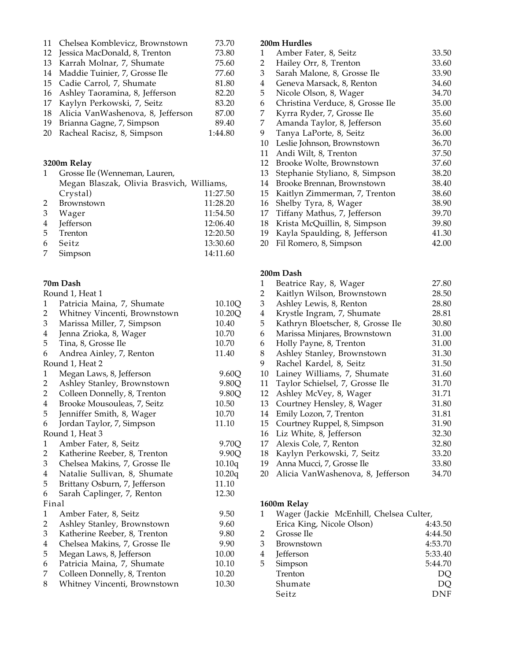|    | 11 Chelsea Komblevicz, Brownstown    | 73.70   |
|----|--------------------------------------|---------|
|    | 12 Jessica MacDonald, 8, Trenton     | 73.80   |
|    | 13 Karrah Molnar, 7, Shumate         | 75.60   |
|    | 14 Maddie Tuinier, 7, Grosse Ile     | 77.60   |
|    | 15 Cadie Carrol, 7, Shumate          | 81.80   |
|    | 16 Ashley Taoramina, 8, Jefferson    | 82.20   |
|    | 17 Kaylyn Perkowski, 7, Seitz        | 83.20   |
|    | 18 Alicia VanWashenova, 8, Jefferson | 87.00   |
|    | 19 Brianna Gagne, 7, Simpson         | 89.40   |
| 20 | Racheal Racisz, 8, Simpson           | 1:44.80 |
|    |                                      |         |

#### **3200m Relay**

| $\mathbf{1}$ | Grosse Ile (Wenneman, Lauren,             |          |  |
|--------------|-------------------------------------------|----------|--|
|              | Megan Blaszak, Olivia Brasvich, Williams, |          |  |
|              | Crystal)                                  | 11:27.50 |  |
|              | 2 Brownstown                              | 11:28.20 |  |
| 3            | Wager                                     | 11:54.50 |  |
|              | 4 Jefferson                               | 12:06.40 |  |
|              | 5 Trenton                                 | 12:20.50 |  |
| 6            | <b>Seitz</b>                              | 13:30.60 |  |
| 7            | Simpson                                   | 14:11.60 |  |

### **70m Dash**

|                | Round 1, Heat 1               |        |
|----------------|-------------------------------|--------|
| 1              | Patricia Maina, 7, Shumate    | 10.10Q |
| $\overline{c}$ | Whitney Vincenti, Brownstown  | 10.20Q |
| 3              | Marissa Miller, 7, Simpson    | 10.40  |
| $\overline{4}$ | Jenna Zrioka, 8, Wager        | 10.70  |
| 5              | Tina, 8, Grosse Ile           | 10.70  |
| 6              | Andrea Ainley, 7, Renton      | 11.40  |
|                | Round 1, Heat 2               |        |
| $\mathbf{1}$   | Megan Laws, 8, Jefferson      | 9.60Q  |
| 2              | Ashley Stanley, Brownstown    | 9.80Q  |
| $\overline{c}$ | Colleen Donnelly, 8, Trenton  | 9.80Q  |
| $\overline{4}$ | Brooke Mousouleas, 7, Seitz   | 10.50  |
| 5              | Jenniffer Smith, 8, Wager     | 10.70  |
| 6              | Jordan Taylor, 7, Simpson     | 11.10  |
|                | Round 1, Heat 3               |        |
| $\mathbf{1}$   | Amber Fater, 8, Seitz         | 9.70Q  |
| 2              | Katherine Reeber, 8, Trenton  | 9.90Q  |
| 3              | Chelsea Makins, 7, Grosse Ile | 10.10q |
| 4              | Natalie Sullivan, 8, Shumate  | 10.20q |
| 5              | Brittany Osburn, 7, Jefferson | 11.10  |
| 6              | Sarah Caplinger, 7, Renton    | 12.30  |
|                | Final                         |        |
| $\mathbf{1}$   | Amber Fater, 8, Seitz         | 9.50   |
| $\overline{c}$ | Ashley Stanley, Brownstown    | 9.60   |
| 3              | Katherine Reeber, 8, Trenton  | 9.80   |
| $\overline{4}$ | Chelsea Makins, 7, Grosse Ile | 9.90   |
| 5              | Megan Laws, 8, Jefferson      | 10.00  |
| 6              | Patricia Maina, 7, Shumate    | 10.10  |
| 7              | Colleen Donnelly, 8, Trenton  | 10.20  |
| 8              | Whitney Vincenti, Brownstown  | 10.30  |
|                |                               |        |

# **200m Hurdles**

| 1  | Amber Fater, 8, Seitz            | 33.50 |
|----|----------------------------------|-------|
| 2  | Hailey Orr, 8, Trenton           | 33.60 |
| 3  | Sarah Malone, 8, Grosse Ile      | 33.90 |
| 4  | Geneva Marsack, 8, Renton        | 34.60 |
| 5  | Nicole Olson, 8, Wager           | 34.70 |
| 6  | Christina Verduce, 8, Grosse Ile | 35.00 |
| 7  | Kyrra Ryder, 7, Grosse Ile       | 35.60 |
| 7  | Amanda Taylor, 8, Jefferson      | 35.60 |
| 9  | Tanya LaPorte, 8, Seitz          | 36.00 |
| 10 | Leslie Johnson, Brownstown       | 36.70 |
| 11 | Andi Wilt, 8, Trenton            | 37.50 |
| 12 | Brooke Wolte, Brownstown         | 37.60 |
| 13 | Stephanie Styliano, 8, Simpson   | 38.20 |
| 14 | Brooke Brennan, Brownstown       | 38.40 |
| 15 | Kaitlyn Zimmerman, 7, Trenton    | 38.60 |
| 16 | Shelby Tyra, 8, Wager            | 38.90 |
| 17 | Tiffany Mathus, 7, Jefferson     | 39.70 |
| 18 | Krista McQuillin, 8, Simpson     | 39.80 |
| 19 | Kayla Spaulding, 8, Jefferson    | 41.30 |
| 20 | Fil Romero, 8, Simpson           | 42.00 |
|    |                                  |       |

## **200m Dash**

| 1 |    | Beatrice Ray, 8, Wager            | 27.80 |
|---|----|-----------------------------------|-------|
| 2 |    | Kaitlyn Wilson, Brownstown        | 28.50 |
| 3 |    | Ashley Lewis, 8, Renton           | 28.80 |
| 4 |    | Krystle Ingram, 7, Shumate        | 28.81 |
| 5 |    | Kathryn Bloetscher, 8, Grosse Ile | 30.80 |
| 6 |    | Marissa Minjares, Brownstown      | 31.00 |
| 6 |    | Holly Payne, 8, Trenton           | 31.00 |
|   | 8  | Ashley Stanley, Brownstown        | 31.30 |
| 9 |    | Rachel Kardel, 8, Seitz           | 31.50 |
|   | 10 | Lainey Williams, 7, Shumate       | 31.60 |
|   | 11 | Taylor Schielsel, 7, Grosse Ile   | 31.70 |
|   | 12 | Ashley McVey, 8, Wager            | 31.71 |
|   | 13 | Courtney Hensley, 8, Wager        | 31.80 |
|   | 14 | Emily Lozon, 7, Trenton           | 31.81 |
|   | 15 | Courtney Ruppel, 8, Simpson       | 31.90 |
|   | 16 | Liz White, 8, Jefferson           | 32.30 |
|   | 17 | Alexis Cole, 7, Renton            | 32.80 |
|   | 18 | Kaylyn Perkowski, 7, Seitz        | 33.20 |
|   | 19 | Anna Mucci, 7, Grosse Ile         | 33.80 |
|   | 20 | Alicia VanWashenova, 8, Jefferson | 34.70 |
|   |    |                                   |       |

### **1600m Relay**

|   | Wager (Jackie McEnhill, Chelsea Culter, |            |
|---|-----------------------------------------|------------|
|   | Erica King, Nicole Olson)               | 4:43.50    |
| 2 | Grosse Ile                              | 4:44.50    |
| 3 | <b>Brownstown</b>                       | 4:53.70    |
| 4 | Jefferson                               | 5:33.40    |
| 5 | Simpson                                 | 5:44.70    |
|   | Trenton                                 | DO         |
|   | Shumate                                 | DO         |
|   | Seitz                                   | <b>DNF</b> |
|   |                                         |            |